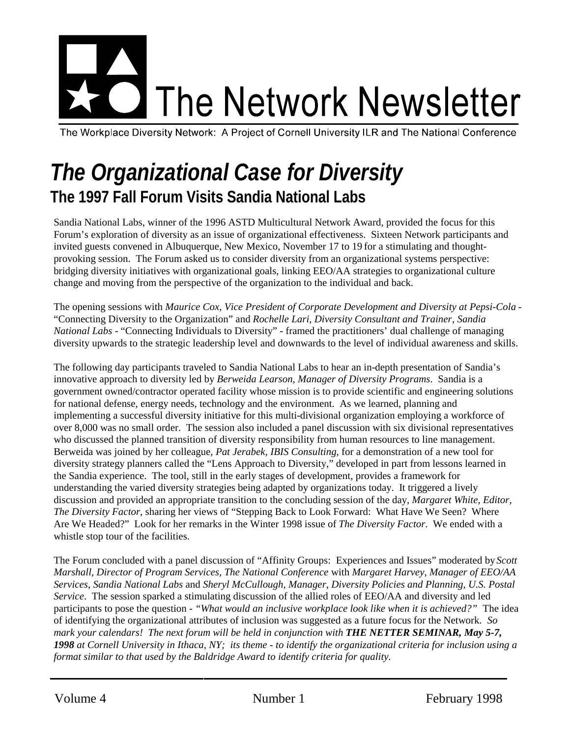# The Network Newsletter

The Workplace Diversity Network: A Project of Cornell University ILR and The National Conference

# *The Organizational Case for Diversity* **The 1997 Fall Forum Visits Sandia National Labs**

Sandia National Labs, winner of the 1996 ASTD Multicultural Network Award, provided the focus for this Forum's exploration of diversity as an issue of organizational effectiveness. Sixteen Network participants and invited guests convened in Albuquerque, New Mexico, November 17 to 19 for a stimulating and thoughtprovoking session. The Forum asked us to consider diversity from an organizational systems perspective: bridging diversity initiatives with organizational goals, linking EEO/AA strategies to organizational culture change and moving from the perspective of the organization to the individual and back.

The opening sessions with *Maurice Cox, Vice President of Corporate Development and Diversity at Pepsi-Cola* - "Connecting Diversity to the Organization" and *Rochelle Lari, Diversity Consultant and Trainer*, *Sandia National Labs* - "Connecting Individuals to Diversity" - framed the practitioners' dual challenge of managing diversity upwards to the strategic leadership level and downwards to the level of individual awareness and skills.

The following day participants traveled to Sandia National Labs to hear an in-depth presentation of Sandia's innovative approach to diversity led by *Berweida Learson, Manager of Diversity Programs*. Sandia is a government owned/contractor operated facility whose mission is to provide scientific and engineering solutions for national defense, energy needs, technology and the environment. As we learned, planning and implementing a successful diversity initiative for this multi-divisional organization employing a workforce of over 8,000 was no small order. The session also included a panel discussion with six divisional representatives who discussed the planned transition of diversity responsibility from human resources to line management. Berweida was joined by her colleague, *Pat Jerabek, IBIS Consulting*, for a demonstration of a new tool for diversity strategy planners called the "Lens Approach to Diversity," developed in part from lessons learned in the Sandia experience. The tool, still in the early stages of development, provides a framework for understanding the varied diversity strategies being adapted by organizations today. It triggered a lively discussion and provided an appropriate transition to the concluding session of the day, *Margaret White, Editor, The Diversity Factor*, sharing her views of "Stepping Back to Look Forward: What Have We Seen? Where Are We Headed?" Look for her remarks in the Winter 1998 issue of *The Diversity Factor*. We ended with a whistle stop tour of the facilities.

The Forum concluded with a panel discussion of "Affinity Groups: Experiences and Issues" moderated by *Scott Marshall, Director of Program Services, The National Conference* with *Margaret Harvey, Manager of EEO/AA Services, Sandia National Labs* and *Sheryl McCullough, Manager, Diversity Policies and Planning, U.S. Postal Service*. The session sparked a stimulating discussion of the allied roles of EEO/AA and diversity and led participants to pose the question - *"What would an inclusive workplace look like when it is achieved?"* The idea of identifying the organizational attributes of inclusion was suggested as a future focus for the Network. *So mark your calendars! The next forum will be held in conjunction with THE NETTER SEMINAR, May 5-7, 1998 at Cornell University in Ithaca, NY; its theme - to identify the organizational criteria for inclusion using a format similar to that used by the Baldridge Award to identify criteria for quality.*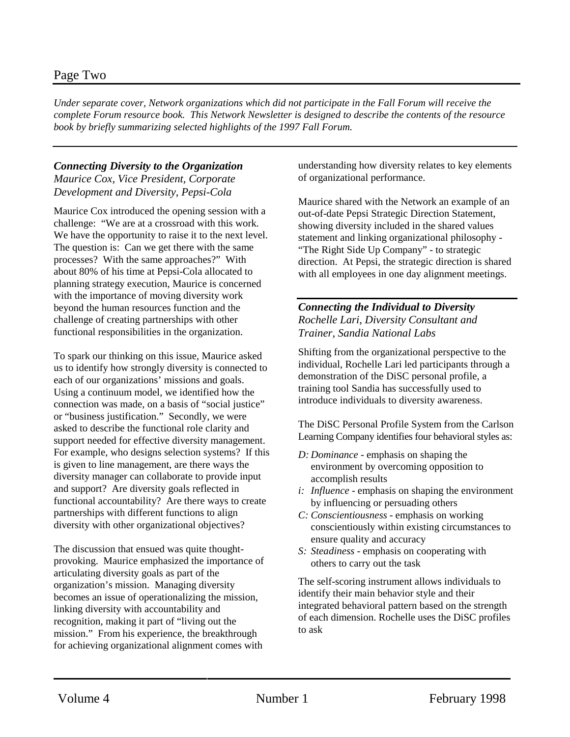## Page Two

*Under separate cover, Network organizations which did not participate in the Fall Forum will receive the complete Forum resource book. This Network Newsletter is designed to describe the contents of the resource book by briefly summarizing selected highlights of the 1997 Fall Forum.*

#### *Connecting Diversity to the Organization*

*Maurice Cox, Vice President, Corporate Development and Diversity, Pepsi-Cola*

Maurice Cox introduced the opening session with a challenge: "We are at a crossroad with this work. We have the opportunity to raise it to the next level. The question is: Can we get there with the same processes? With the same approaches?" With about 80% of his time at Pepsi-Cola allocated to planning strategy execution, Maurice is concerned with the importance of moving diversity work beyond the human resources function and the challenge of creating partnerships with other functional responsibilities in the organization.

To spark our thinking on this issue, Maurice asked us to identify how strongly diversity is connected to each of our organizations' missions and goals. Using a continuum model, we identified how the connection was made, on a basis of "social justice" or "business justification." Secondly, we were asked to describe the functional role clarity and support needed for effective diversity management. For example, who designs selection systems? If this is given to line management, are there ways the diversity manager can collaborate to provide input and support? Are diversity goals reflected in functional accountability? Are there ways to create partnerships with different functions to align diversity with other organizational objectives?

The discussion that ensued was quite thoughtprovoking. Maurice emphasized the importance of articulating diversity goals as part of the organization's mission. Managing diversity becomes an issue of operationalizing the mission, linking diversity with accountability and recognition, making it part of "living out the mission." From his experience, the breakthrough for achieving organizational alignment comes with

understanding how diversity relates to key elements of organizational performance.

Maurice shared with the Network an example of an out-of-date Pepsi Strategic Direction Statement, showing diversity included in the shared values statement and linking organizational philosophy - "The Right Side Up Company" - to strategic direction. At Pepsi, the strategic direction is shared with all employees in one day alignment meetings.

*Connecting the Individual to Diversity Rochelle Lari, Diversity Consultant and Trainer, Sandia National Labs*

Shifting from the organizational perspective to the individual, Rochelle Lari led participants through a demonstration of the DiSC personal profile, a training tool Sandia has successfully used to introduce individuals to diversity awareness.

The DiSC Personal Profile System from the Carlson Learning Company identifies four behavioral styles as:

- *D: Dominance* emphasis on shaping the environment by overcoming opposition to accomplish results
- *i: Influence* emphasis on shaping the environment by influencing or persuading others
- *C: Conscientiousness* emphasis on working conscientiously within existing circumstances to ensure quality and accuracy
- *S: Steadiness* emphasis on cooperating with others to carry out the task

The self-scoring instrument allows individuals to identify their main behavior style and their integrated behavioral pattern based on the strength of each dimension. Rochelle uses the DiSC profiles to ask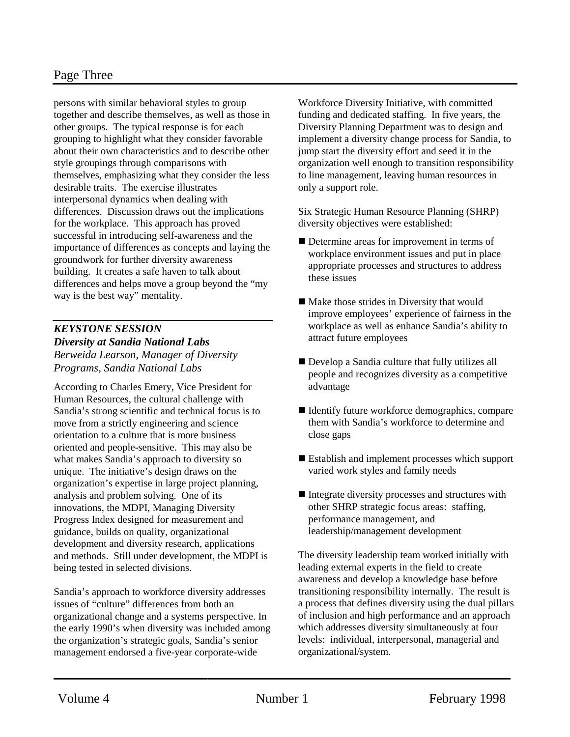persons with similar behavioral styles to group together and describe themselves, as well as those in other groups. The typical response is for each grouping to highlight what they consider favorable about their own characteristics and to describe other style groupings through comparisons with themselves, emphasizing what they consider the less desirable traits. The exercise illustrates interpersonal dynamics when dealing with differences. Discussion draws out the implications for the workplace. This approach has proved successful in introducing self-awareness and the importance of differences as concepts and laying the groundwork for further diversity awareness building. It creates a safe haven to talk about differences and helps move a group beyond the "my way is the best way" mentality.

#### *KEYSTONE SESSION Diversity at Sandia National Labs Berweida Learson, Manager of Diversity Programs, Sandia National Labs*

According to Charles Emery, Vice President for Human Resources, the cultural challenge with Sandia's strong scientific and technical focus is to move from a strictly engineering and science orientation to a culture that is more business oriented and people-sensitive. This may also be what makes Sandia's approach to diversity so unique. The initiative's design draws on the organization's expertise in large project planning, analysis and problem solving. One of its innovations, the MDPI, Managing Diversity Progress Index designed for measurement and guidance, builds on quality, organizational development and diversity research, applications and methods. Still under development, the MDPI is being tested in selected divisions.

Sandia's approach to workforce diversity addresses issues of "culture" differences from both an organizational change and a systems perspective. In the early 1990's when diversity was included among the organization's strategic goals, Sandia's senior management endorsed a five-year corporate-wide

Workforce Diversity Initiative, with committed funding and dedicated staffing. In five years, the Diversity Planning Department was to design and implement a diversity change process for Sandia, to jump start the diversity effort and seed it in the organization well enough to transition responsibility to line management, leaving human resources in only a support role.

Six Strategic Human Resource Planning (SHRP) diversity objectives were established:

- Determine areas for improvement in terms of workplace environment issues and put in place appropriate processes and structures to address these issues
- $\blacksquare$  Make those strides in Diversity that would improve employees' experience of fairness in the workplace as well as enhance Sandia's ability to attract future employees
- Develop a Sandia culture that fully utilizes all people and recognizes diversity as a competitive advantage
- $\blacksquare$  Identify future workforce demographics, compare them with Sandia's workforce to determine and close gaps
- $\blacksquare$  Establish and implement processes which support varied work styles and family needs
- $\blacksquare$  Integrate diversity processes and structures with other SHRP strategic focus areas: staffing, performance management, and leadership/management development

The diversity leadership team worked initially with leading external experts in the field to create awareness and develop a knowledge base before transitioning responsibility internally. The result is a process that defines diversity using the dual pillars of inclusion and high performance and an approach which addresses diversity simultaneously at four levels: individual, interpersonal, managerial and organizational/system.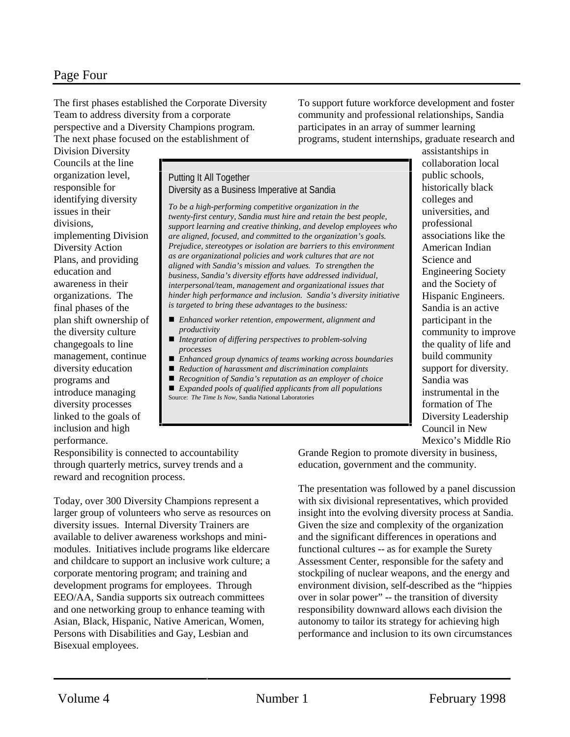The first phases established the Corporate Diversity Team to address diversity from a corporate perspective and a Diversity Champions program. The next phase focused on the establishment of

To support future workforce development and foster community and professional relationships, Sandia participates in an array of summer learning programs, student internships, graduate research and

Division Diversity Councils at the line organization level, responsible for identifying diversity issues in their divisions, implementing Division Diversity Action Plans, and providing education and awareness in their organizations. The final phases of the plan shift ownership of the diversity culture changegoals to line management, continue diversity education programs and introduce managing diversity processes linked to the goals of inclusion and high performance.

Putting It All Together Diversity as a Business Imperative at Sandia

*To be a high-performing competitive organization in the twenty-first century, Sandia must hire and retain the best people, support learning and creative thinking, and develop employees who are aligned, focused, and committed to the organization's goals. Prejudice, stereotypes or isolation are barriers to this environment as are organizational policies and work cultures that are not aligned with Sandia's mission and values. To strengthen the business, Sandia's diversity efforts have addressed individual, interpersonal/team, management and organizational issues that hinder high performance and inclusion. Sandia's diversity initiative is targeted to bring these advantages to the business:*

- *Enhanced worker retention, empowerment, alignment and productivity*
- *Integration of differing perspectives to problem-solving processes*
- n *Enhanced group dynamics of teams working across boundaries*
- *Reduction of harassment and discrimination complaints*
- n *Recognition of Sandia's reputation as an employer of choice* n *Expanded pools of qualified applicants from all populations*
- Source: *The Time Is Now*, Sandia National Laboratories

assistantships in collaboration local public schools, historically black colleges and universities, and professional associations like the American Indian Science and Engineering Society and the Society of Hispanic Engineers. Sandia is an active participant in the community to improve the quality of life and build community support for diversity. Sandia was instrumental in the formation of The Diversity Leadership Council in New Mexico's Middle Rio

Responsibility is connected to accountability through quarterly metrics, survey trends and a reward and recognition process.

Today, over 300 Diversity Champions represent a larger group of volunteers who serve as resources on diversity issues. Internal Diversity Trainers are available to deliver awareness workshops and minimodules. Initiatives include programs like eldercare and childcare to support an inclusive work culture; a corporate mentoring program; and training and development programs for employees. Through EEO/AA, Sandia supports six outreach committees and one networking group to enhance teaming with Asian, Black, Hispanic, Native American, Women, Persons with Disabilities and Gay, Lesbian and Bisexual employees.

Grande Region to promote diversity in business, education, government and the community.

The presentation was followed by a panel discussion with six divisional representatives, which provided insight into the evolving diversity process at Sandia. Given the size and complexity of the organization and the significant differences in operations and functional cultures -- as for example the Surety Assessment Center, responsible for the safety and stockpiling of nuclear weapons, and the energy and environment division, self-described as the "hippies over in solar power" -- the transition of diversity responsibility downward allows each division the autonomy to tailor its strategy for achieving high performance and inclusion to its own circumstances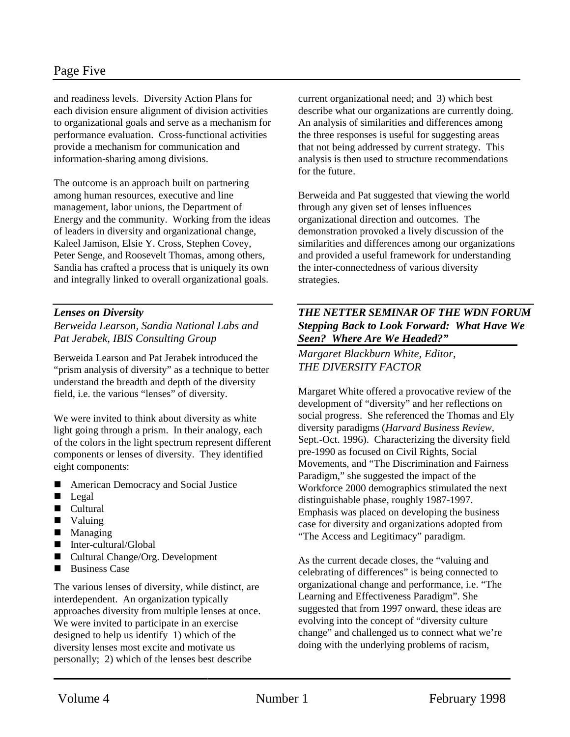# Page Five

and readiness levels. Diversity Action Plans for each division ensure alignment of division activities to organizational goals and serve as a mechanism for performance evaluation. Cross-functional activities provide a mechanism for communication and information-sharing among divisions.

The outcome is an approach built on partnering among human resources, executive and line management, labor unions, the Department of Energy and the community. Working from the ideas of leaders in diversity and organizational change, Kaleel Jamison, Elsie Y. Cross, Stephen Covey, Peter Senge, and Roosevelt Thomas, among others, Sandia has crafted a process that is uniquely its own and integrally linked to overall organizational goals.

#### *Lenses on Diversity*

*Berweida Learson, Sandia National Labs and Pat Jerabek, IBIS Consulting Group*

Berweida Learson and Pat Jerabek introduced the "prism analysis of diversity" as a technique to better understand the breadth and depth of the diversity field, i.e. the various "lenses" of diversity.

We were invited to think about diversity as white light going through a prism. In their analogy, each of the colors in the light spectrum represent different components or lenses of diversity. They identified eight components:

- American Democracy and Social Justice
- **n** Legal
- $\blacksquare$  Cultural
- **N** Valuing
- $$
- $\blacksquare$  Inter-cultural/Global
- Cultural Change/Org. Development
- $\blacksquare$  Business Case

The various lenses of diversity, while distinct, are interdependent. An organization typically approaches diversity from multiple lenses at once. We were invited to participate in an exercise designed to help us identify 1) which of the diversity lenses most excite and motivate us personally; 2) which of the lenses best describe

current organizational need; and 3) which best describe what our organizations are currently doing. An analysis of similarities and differences among the three responses is useful for suggesting areas that not being addressed by current strategy. This analysis is then used to structure recommendations for the future.

Berweida and Pat suggested that viewing the world through any given set of lenses influences organizational direction and outcomes. The demonstration provoked a lively discussion of the similarities and differences among our organizations and provided a useful framework for understanding the inter-connectedness of various diversity strategies.

#### *THE NETTER SEMINAR OF THE WDN FORUM Stepping Back to Look Forward: What Have We Seen? Where Are We Headed?"*

*Margaret Blackburn White, Editor, THE DIVERSITY FACTOR*

Margaret White offered a provocative review of the development of "diversity" and her reflections on social progress. She referenced the Thomas and Ely diversity paradigms (*Harvard Business Review*, Sept.-Oct. 1996). Characterizing the diversity field pre-1990 as focused on Civil Rights, Social Movements, and "The Discrimination and Fairness Paradigm," she suggested the impact of the Workforce 2000 demographics stimulated the next distinguishable phase, roughly 1987-1997. Emphasis was placed on developing the business case for diversity and organizations adopted from "The Access and Legitimacy" paradigm.

As the current decade closes, the "valuing and celebrating of differences" is being connected to organizational change and performance, i.e. "The Learning and Effectiveness Paradigm". She suggested that from 1997 onward, these ideas are evolving into the concept of "diversity culture change" and challenged us to connect what we're doing with the underlying problems of racism,